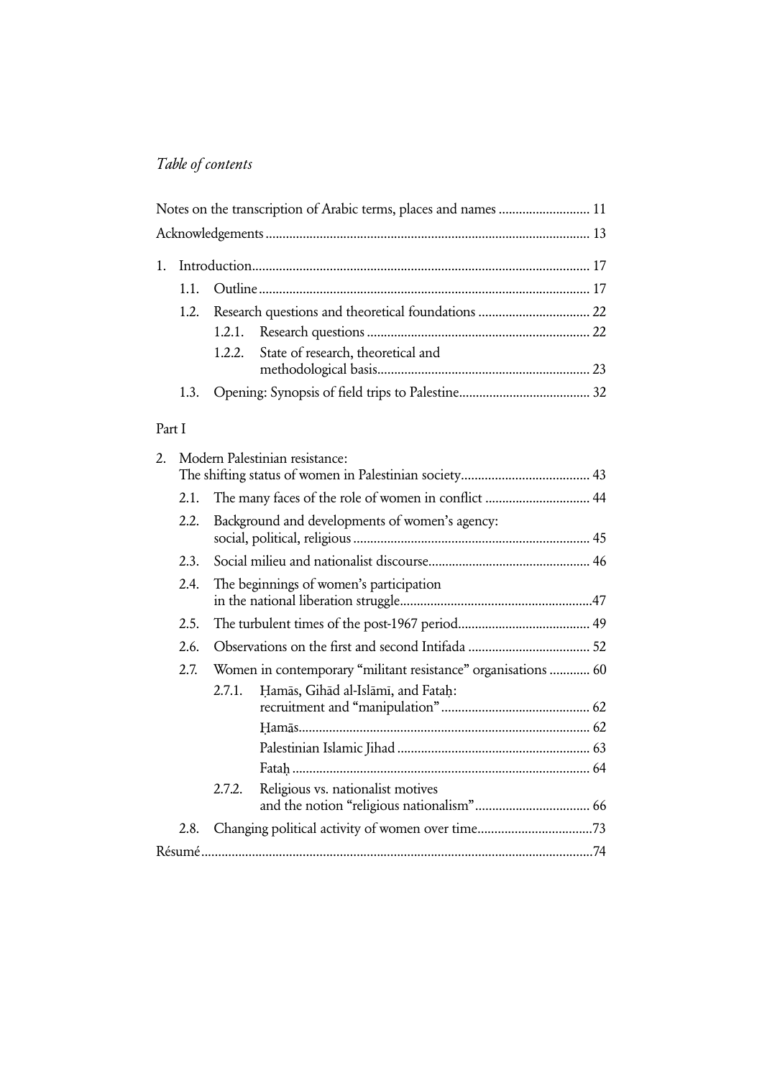## Table of contents

|  | Notes on the transcription of Arabic terms, places and names  11 |  |
|--|------------------------------------------------------------------|--|
|  |                                                                  |  |
|  |                                                                  |  |
|  |                                                                  |  |
|  | 1.2. Research questions and theoretical foundations  22          |  |
|  |                                                                  |  |
|  | 1.2.2. State of research, theoretical and                        |  |
|  |                                                                  |  |

### Part I

| 2. |      |        | Modern Palestinian resistance:                                |  |
|----|------|--------|---------------------------------------------------------------|--|
|    | 2.1. |        | The many faces of the role of women in conflict  44           |  |
|    | 2.2. |        | Background and developments of women's agency:                |  |
|    | 2.3. |        |                                                               |  |
|    | 2.4. |        | The beginnings of women's participation                       |  |
|    | 2.5. |        |                                                               |  |
|    | 2.6. |        |                                                               |  |
|    | 2.7. |        | Women in contemporary "militant resistance" organisations  60 |  |
|    |      | 2.7.1. | Hamās, Gihād al-Islāmī, and Fatah:                            |  |
|    |      |        |                                                               |  |
|    |      |        |                                                               |  |
|    |      | 2.7.2. | Religious vs. nationalist motives                             |  |
|    | 2.8. |        | Changing political activity of women over time73              |  |
|    |      |        |                                                               |  |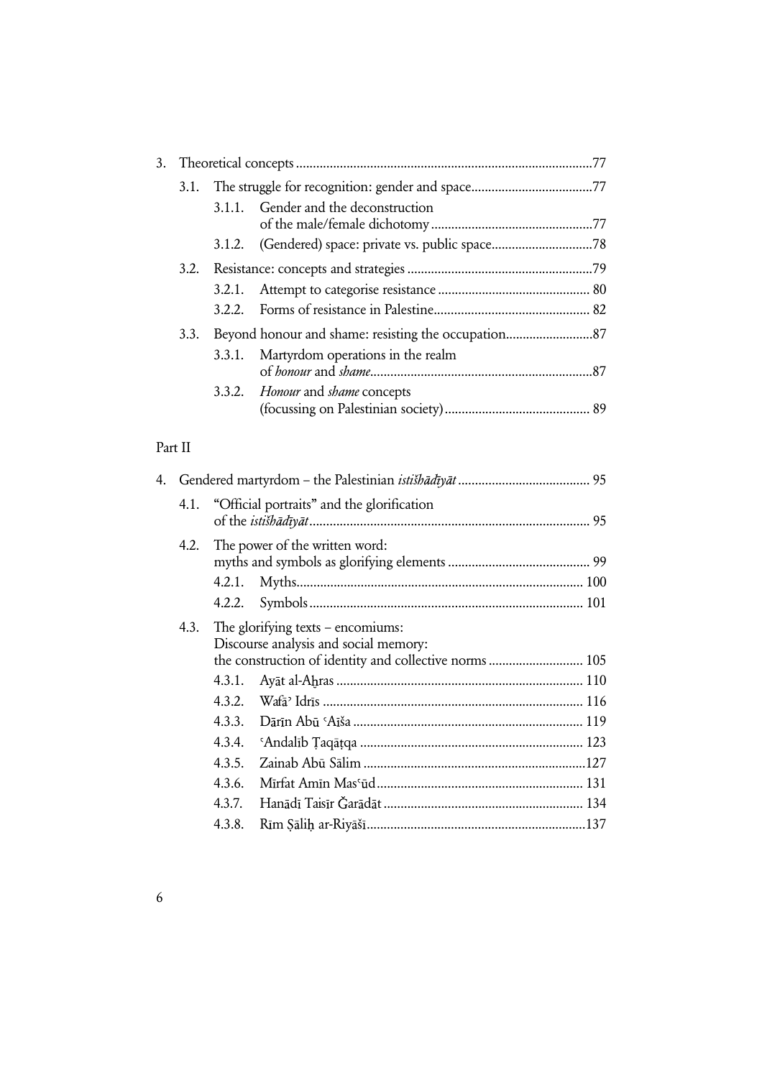|  |      |  | 3.1.1. Gender and the deconstruction                |  |
|--|------|--|-----------------------------------------------------|--|
|  |      |  | 3.1.2. (Gendered) space: private vs. public space78 |  |
|  |      |  |                                                     |  |
|  |      |  |                                                     |  |
|  |      |  |                                                     |  |
|  | 3.3. |  |                                                     |  |
|  |      |  | 3.3.1. Martyrdom operations in the realm            |  |
|  |      |  | 3.3.2. <i>Honour</i> and <i>shame</i> concepts      |  |

## Part II

|      |        | 4.   Gendered martyrdom – the Palestinian <i>istišhādīyāt</i> …………………………………… 95                                                        |
|------|--------|----------------------------------------------------------------------------------------------------------------------------------------|
|      |        | 4.1. "Official portraits" and the glorification                                                                                        |
| 4.2. |        | The power of the written word:                                                                                                         |
|      | 4.2.1. |                                                                                                                                        |
|      | 4.2.2. |                                                                                                                                        |
| 4.3. |        | The glorifying texts $-$ encomiums:<br>Discourse analysis and social memory:<br>the construction of identity and collective norms  105 |
|      | 4.3.1. |                                                                                                                                        |
|      | 4.3.2. |                                                                                                                                        |
|      | 4.3.3. |                                                                                                                                        |
|      | 4.3.4. |                                                                                                                                        |
|      | 4.3.5. |                                                                                                                                        |
|      | 4.3.6. |                                                                                                                                        |
|      | 4.3.7. |                                                                                                                                        |
|      | 4.3.8. |                                                                                                                                        |
|      |        |                                                                                                                                        |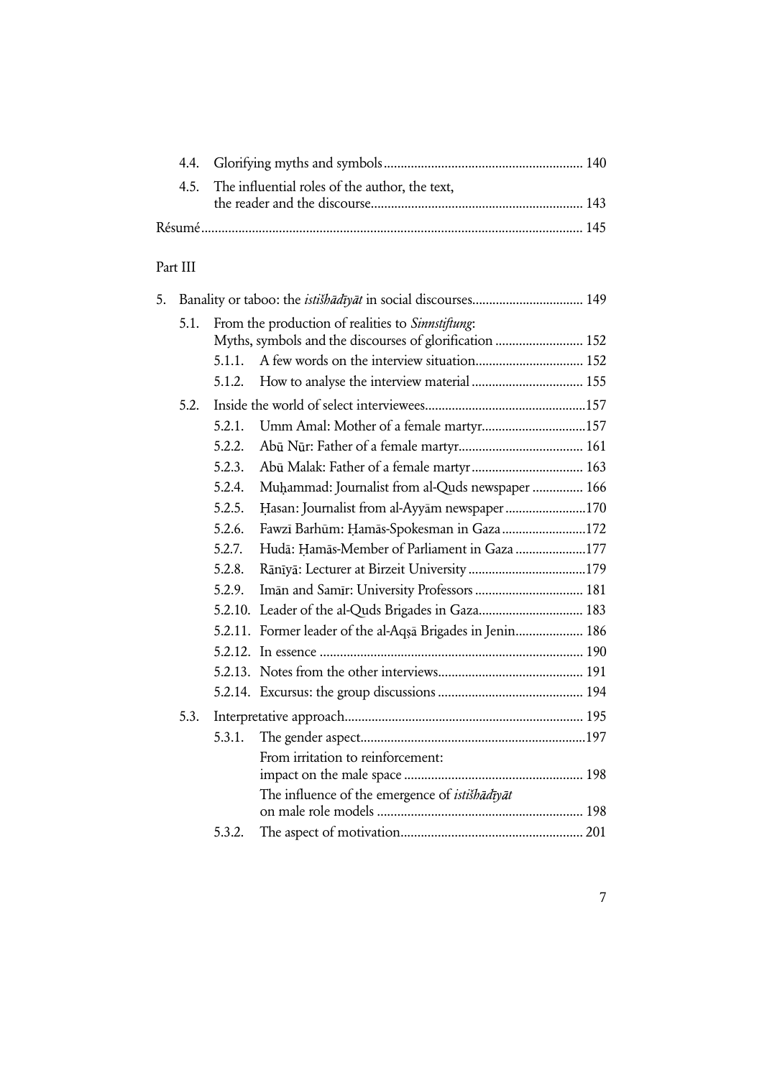| 4.5. The influential roles of the author, the text, |  |
|-----------------------------------------------------|--|
|                                                     |  |
|                                                     |  |

# Part III

| 5. |      |         |                                                                                                              |
|----|------|---------|--------------------------------------------------------------------------------------------------------------|
|    | 5.1. |         | From the production of realities to Sinnstiftung:<br>Myths, symbols and the discourses of glorification  152 |
|    |      | 5.1.1.  |                                                                                                              |
|    |      | 5.1.2.  | How to analyse the interview material  155                                                                   |
|    | 5.2. |         |                                                                                                              |
|    |      | 5.2.1.  | Umm Amal: Mother of a female martyr157                                                                       |
|    |      | 5.2.2.  |                                                                                                              |
|    |      | 5.2.3.  |                                                                                                              |
|    |      | 5.2.4.  | Muhammad: Journalist from al-Quds newspaper  166                                                             |
|    |      | 5.2.5.  | Hasan: Journalist from al-Ayyam newspaper 170                                                                |
|    |      | 5.2.6.  | Fawzī Barhūm: Hamās-Spokesman in Gaza 172                                                                    |
|    |      | 5.2.7.  | Hudā: Hamās-Member of Parliament in Gaza 177                                                                 |
|    |      | 5.2.8.  |                                                                                                              |
|    |      | 5.2.9.  | Iman and Samir: University Professors  181                                                                   |
|    |      | 5.2.10. | Leader of the al-Quds Brigades in Gaza 183                                                                   |
|    |      |         | 5.2.11. Former leader of the al-Aqsa Brigades in Jenin 186                                                   |
|    |      |         |                                                                                                              |
|    |      |         |                                                                                                              |
|    |      |         |                                                                                                              |
|    | 5.3. |         |                                                                                                              |
|    |      | 5.3.1.  |                                                                                                              |
|    |      |         | From irritation to reinforcement:                                                                            |
|    |      |         |                                                                                                              |
|    |      |         | The influence of the emergence of <i>istišhādīyāt</i>                                                        |
|    |      | 5.3.2.  |                                                                                                              |
|    |      |         |                                                                                                              |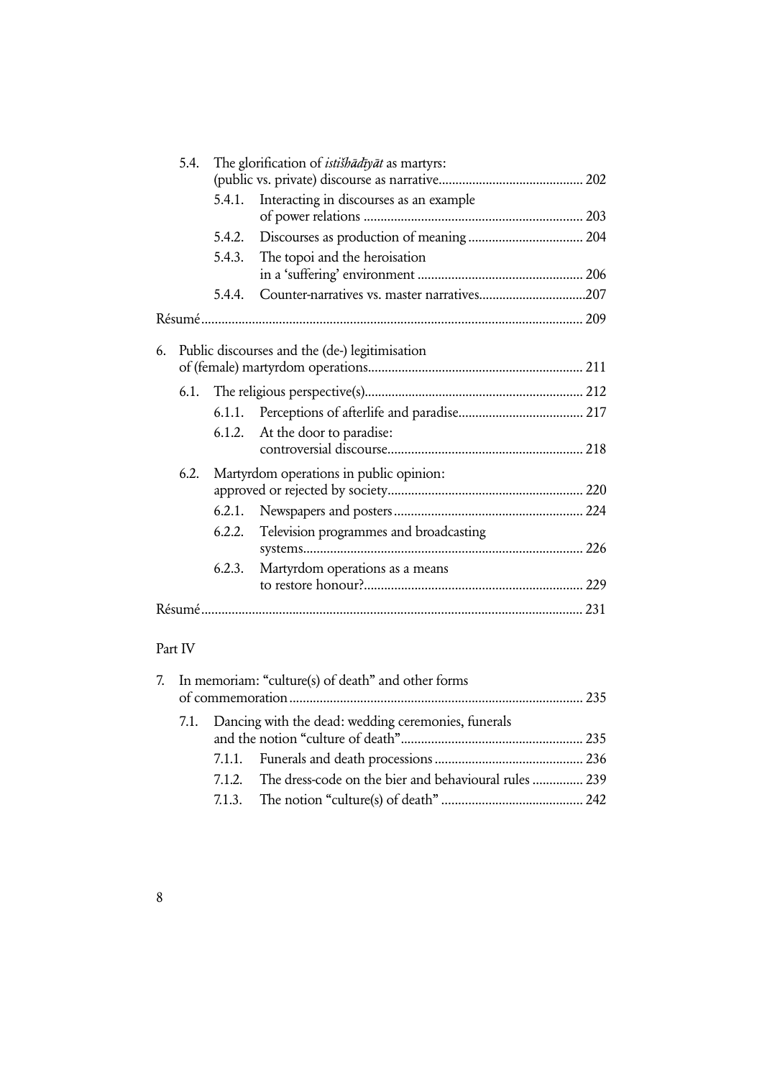|    | 5.4. |        | The glorification of <i>istishadiyat</i> as martyrs: |
|----|------|--------|------------------------------------------------------|
|    |      | 5.4.1. | Interacting in discourses as an example              |
|    |      | 5.4.2. |                                                      |
|    |      | 5.4.3. | The topoi and the heroisation                        |
|    |      | 5.4.4. |                                                      |
|    |      |        |                                                      |
| 6. |      |        | Public discourses and the (de-) legitimisation       |
|    |      |        |                                                      |
|    |      | 6.1.1. |                                                      |
|    |      | 6.1.2. | At the door to paradise:                             |
|    | 6.2. |        | Martyrdom operations in public opinion:              |
|    |      | 6.2.1. |                                                      |
|    |      | 6.2.2. | Television programmes and broadcasting               |
|    |      | 6.2.3. | Martyrdom operations as a means                      |
|    |      |        |                                                      |
|    |      |        |                                                      |

## Part IV

| 7. In memoriam: "culture(s) of death" and other forms |  |                                                              |  |
|-------------------------------------------------------|--|--------------------------------------------------------------|--|
|                                                       |  | 7.1. Dancing with the dead: wedding ceremonies, funerals     |  |
|                                                       |  |                                                              |  |
|                                                       |  | 7.1.2. The dress-code on the bier and behavioural rules  239 |  |
|                                                       |  |                                                              |  |
|                                                       |  |                                                              |  |